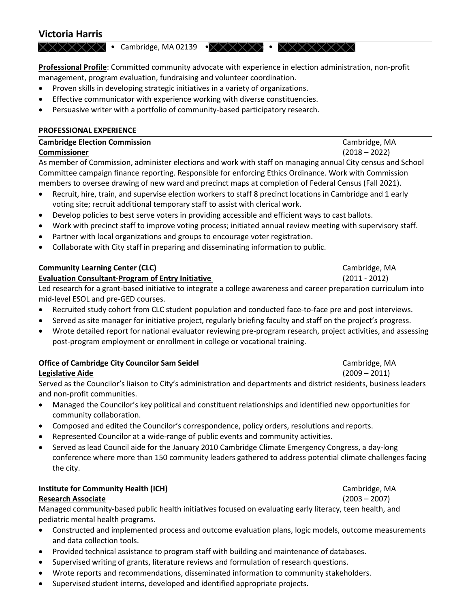# **Victoria Harris**

ͻĂŵďƌŝĚŐĞ͕DϬϮϭϯϵͻ ͻ

**Professional Profile**: Committed community advocate with experience in election administration, non-profit management, program evaluation, fundraising and volunteer coordination.

- Proven skills in developing strategic initiatives in a variety of organizations.
- Effective communicator with experience working with diverse constituencies.
- Persuasive writer with a portfolio of community-based participatory research.

### **PROFESSIONAL EXPERIENCE**

## **Cambridge Election Commission** Cambridge, MA **Commissioner** (2018 – 2022) As member of Commission, administer elections and work with staff on managing annual City census and School Committee campaign finance reporting. Responsible for enforcing Ethics Ordinance. Work with Commission members to oversee drawing of new ward and precinct maps at completion of Federal Census (Fall 2021).

- x Recruit, hire, train, and supervise election workers to staff 8 precinct locations in Cambridge and 1 early voting site; recruit additional temporary staff to assist with clerical work.
- Develop policies to best serve voters in providing accessible and efficient ways to cast ballots.
- x Work with precinct staff to improve voting process; initiated annual review meeting with supervisory staff.
- Partner with local organizations and groups to encourage voter registration.
- Collaborate with City staff in preparing and disseminating information to public.

# **Community Learning Center (CLC) Cambridge, MA Cambridge, MA**

### **Evaluation Consultant-Program of Entry Initiative** (2011 - 2012)

Led research for a grant-based initiative to integrate a college awareness and career preparation curriculum into mid-level ESOL and pre-GED courses.

- x Recruited study cohort from CLC student population and conducted face-to-face pre and post interviews.
- Served as site manager for initiative project, regularly briefing faculty and staff on the project's progress.
- Wrote detailed report for national evaluator reviewing pre-program research, project activities, and assessing post-program employment or enrollment in college or vocational training.

# **Office of Cambridge City Councilor Sam Seidel Cambridge, MA Cambridge, MA Cambridge, MA Legislative Aide** (2009 – 2011)

Served as the Councilor's liaison to City's administration and departments and district residents, business leaders and non-profit communities.

- Managed the Councilor's key political and constituent relationships and identified new opportunities for community collaboration.
- Composed and edited the Councilor's correspondence, policy orders, resolutions and reports.
- Represented Councilor at a wide-range of public events and community activities.
- Served as lead Council aide for the January 2010 Cambridge Climate Emergency Congress, a day-long conference where more than 150 community leaders gathered to address potential climate challenges facing the city.

# **Institute for Community Health (ICH)** Cambridge, MA

### **Research Associate** (2003 – 2007)

Managed community-based public health initiatives focused on evaluating early literacy, teen health, and pediatric mental health programs.

- Constructed and implemented process and outcome evaluation plans, logic models, outcome measurements and data collection tools.
- Provided technical assistance to program staff with building and maintenance of databases.
- Supervised writing of grants, literature reviews and formulation of research questions.
- x Wrote reports and recommendations, disseminated information to community stakeholders.
- Supervised student interns, developed and identified appropriate projects.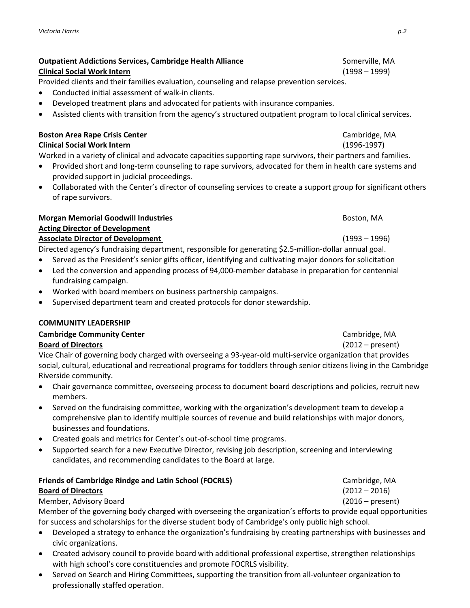## **Outpatient Addictions Services, Cambridge Health Alliance** Somerville, MA Somerville, MA **Clinical Social Work Intern** (1998 – 1999)

Provided clients and their families evaluation, counseling and relapse prevention services.

- Conducted initial assessment of walk-in clients.
- Developed treatment plans and advocated for patients with insurance companies.
- Assisted clients with transition from the agency's structured outpatient program to local clinical services.

# **Boston Area Rape Crisis Center Cambridge, MA**

# **Clinical Social Work Intern** (1996-1997)

Worked in a variety of clinical and advocate capacities supporting rape survivors, their partners and families.

- Provided short and long-term counseling to rape survivors, advocated for them in health care systems and provided support in judicial proceedings.
- Collaborated with the Center's director of counseling services to create a support group for significant others of rape survivors.

### **Morgan Memorial Goodwill Industries Boston, MA** Boston, MA **Acting Director of Development Associate Director of Development**   $(1993 - 1996)$

Directed agency's fundraising department, responsible for generating \$2.5-million-dollar annual goal.

- Served as the President's senior gifts officer, identifying and cultivating major donors for solicitation
- Led the conversion and appending process of 94,000-member database in preparation for centennial fundraising campaign.
- x Worked with board members on business partnership campaigns.
- Supervised department team and created protocols for donor stewardship.

# **COMMUNITY LEADERSHIP**

# **Cambridge Community Center** Cambridge, MA **Board of Directors** (2012 – present)

Vice Chair of governing body charged with overseeing a 93-year-old multi-service organization that provides social, cultural, educational and recreational programs for toddlers through senior citizens living in the Cambridge Riverside community.

- Chair governance committee, overseeing process to document board descriptions and policies, recruit new members.
- Served on the fundraising committee, working with the organization's development team to develop a comprehensive plan to identify multiple sources of revenue and build relationships with major donors, businesses and foundations.
- Created goals and metrics for Center's out-of-school time programs.
- Supported search for a new Executive Director, revising job description, screening and interviewing candidates, and recommending candidates to the Board at large.

# **Friends of Cambridge Rindge and Latin School (FOCRLS)** Cambridge, MA **Board of Directors** (2012 – 2016)

## Member, Advisory Board (2016 – present)

Member of the governing body charged with overseeing the organization's efforts to provide equal opportunities for success and scholarships for the diverse student body of Cambridge's only public high school.

- Developed a strategy to enhance the organization's fundraising by creating partnerships with businesses and civic organizations.
- Created advisory council to provide board with additional professional expertise, strengthen relationships with high school's core constituencies and promote FOCRLS visibility.
- Served on Search and Hiring Committees, supporting the transition from all-volunteer organization to professionally staffed operation.